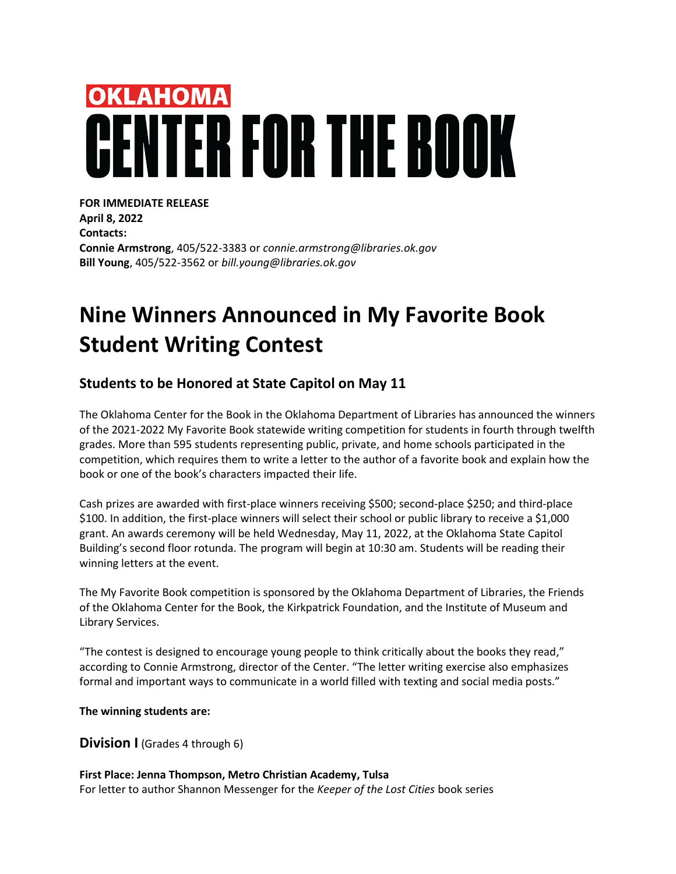# **OKLAHOMA** NTER FOR THE BOOK

**FOR IMMEDIATE RELEASE April 8, 2022 Contacts: Connie Armstrong**, 405/522-3383 or *connie.armstrong@libraries.ok.gov* **Bill Young**, 405/522-3562 or *bill.young@libraries.ok.gov*

# **Nine Winners Announced in My Favorite Book Student Writing Contest**

## **Students to be Honored at State Capitol on May 11**

The Oklahoma Center for the Book in the Oklahoma Department of Libraries has announced the winners of the 2021-2022 My Favorite Book statewide writing competition for students in fourth through twelfth grades. More than 595 students representing public, private, and home schools participated in the competition, which requires them to write a letter to the author of a favorite book and explain how the book or one of the book's characters impacted their life.

Cash prizes are awarded with first-place winners receiving \$500; second-place \$250; and third-place \$100. In addition, the first-place winners will select their school or public library to receive a \$1,000 grant. An awards ceremony will be held Wednesday, May 11, 2022, at the Oklahoma State Capitol Building's second floor rotunda. The program will begin at 10:30 am. Students will be reading their winning letters at the event.

The My Favorite Book competition is sponsored by the Oklahoma Department of Libraries, the Friends of the Oklahoma Center for the Book, the Kirkpatrick Foundation, and the Institute of Museum and Library Services.

"The contest is designed to encourage young people to think critically about the books they read," according to Connie Armstrong, director of the Center. "The letter writing exercise also emphasizes formal and important ways to communicate in a world filled with texting and social media posts."

**The winning students are:**

**Division I** (Grades 4 through 6)

#### **First Place: Jenna Thompson, Metro Christian Academy, Tulsa** For letter to author Shannon Messenger for the *Keeper of the Lost Cities* book series